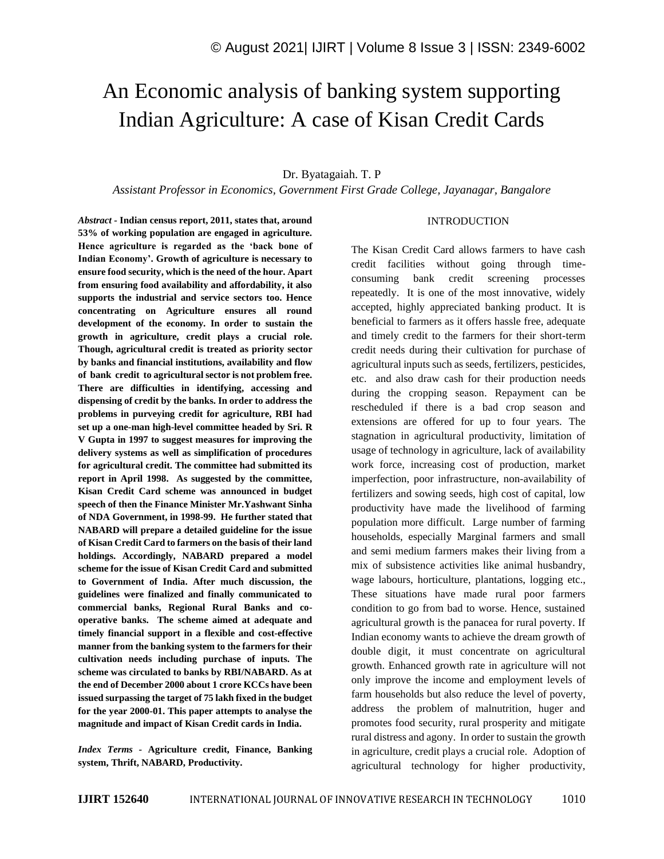# An Economic analysis of banking system supporting Indian Agriculture: A case of Kisan Credit Cards

#### Dr. Byatagaiah. T. P

*Assistant Professor in Economics, Government First Grade College, Jayanagar, Bangalore*

#### INTRODUCTION

*Abstract -* **Indian census report, 2011, states that, around 53% of working population are engaged in agriculture. Hence agriculture is regarded as the 'back bone of Indian Economy'. Growth of agriculture is necessary to ensure food security, which is the need of the hour. Apart from ensuring food availability and affordability, it also supports the industrial and service sectors too. Hence concentrating on Agriculture ensures all round development of the economy. In order to sustain the growth in agriculture, credit plays a crucial role. Though, agricultural credit is treated as priority sector by banks and financial institutions, availability and flow of bank credit to agricultural sector is not problem free. There are difficulties in identifying, accessing and dispensing of credit by the banks. In order to address the problems in purveying credit for agriculture, RBI had set up a one-man high-level committee headed by Sri. R V Gupta in 1997 to suggest measures for improving the delivery systems as well as simplification of procedures for agricultural credit. The committee had submitted its report in April 1998. As suggested by the committee, Kisan Credit Card scheme was announced in budget speech of then the Finance Minister Mr.Yashwant Sinha of NDA Government, in 1998-99. He further stated that NABARD will prepare a detailed guideline for the issue of Kisan Credit Card to farmers on the basis of their land holdings. Accordingly, NABARD prepared a model scheme for the issue of Kisan Credit Card and submitted to Government of India. After much discussion, the guidelines were finalized and finally communicated to commercial banks, Regional Rural Banks and cooperative banks. The scheme aimed at adequate and timely financial support in a flexible and cost-effective manner from the banking system to the farmers for their cultivation needs including purchase of inputs. The scheme was circulated to banks by RBI/NABARD. As at the end of December 2000 about 1 crore KCCs have been issued surpassing the target of 75 lakh fixed in the budget for the year 2000-01. This paper attempts to analyse the magnitude and impact of Kisan Credit cards in India.**

*Index Terms -* **Agriculture credit, Finance, Banking system, Thrift, NABARD, Productivity.**

The Kisan Credit Card allows farmers to have cash credit facilities without going through timeconsuming bank credit screening processes repeatedly. It is one of the most innovative, widely accepted, highly appreciated banking product. It is beneficial to farmers as it offers hassle free, adequate and timely credit to the farmers for their short-term credit needs during their cultivation for purchase of agricultural inputs such as seeds, fertilizers, pesticides, etc. and also draw cash for their production needs during the cropping season. Repayment can be rescheduled if there is a bad crop season and extensions are offered for up to four years. The stagnation in agricultural productivity, limitation of usage of technology in agriculture, lack of availability work force, increasing cost of production, market imperfection, poor infrastructure, non-availability of fertilizers and sowing seeds, high cost of capital, low productivity have made the livelihood of farming population more difficult. Large number of farming households, especially Marginal farmers and small and semi medium farmers makes their living from a mix of subsistence activities like animal husbandry, wage labours, horticulture, plantations, logging etc., These situations have made rural poor farmers condition to go from bad to worse. Hence, sustained agricultural growth is the panacea for rural poverty. If Indian economy wants to achieve the dream growth of double digit, it must concentrate on agricultural growth. Enhanced growth rate in agriculture will not only improve the income and employment levels of farm households but also reduce the level of poverty, address the problem of malnutrition, huger and promotes food security, rural prosperity and mitigate rural distress and agony. In order to sustain the growth in agriculture, credit plays a crucial role. Adoption of agricultural technology for higher productivity,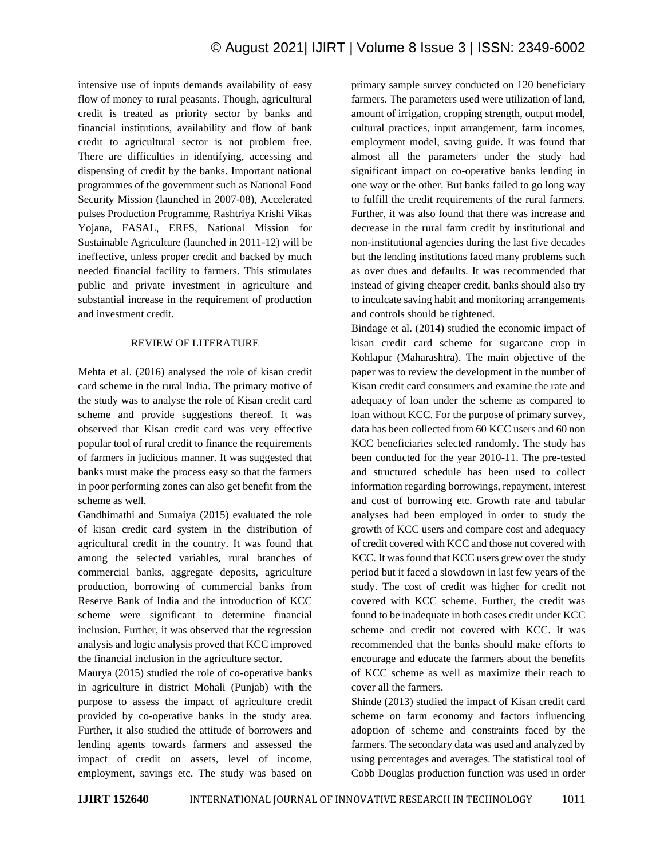intensive use of inputs demands availability of easy flow of money to rural peasants. Though, agricultural credit is treated as priority sector by banks and financial institutions, availability and flow of bank credit to agricultural sector is not problem free. There are difficulties in identifying, accessing and dispensing of credit by the banks. Important national programmes of the government such as National Food Security Mission (launched in 2007-08), Accelerated pulses Production Programme, Rashtriya Krishi Vikas Yojana, FASAL, ERFS, National Mission for Sustainable Agriculture (launched in 2011-12) will be ineffective, unless proper credit and backed by much needed financial facility to farmers. This stimulates public and private investment in agriculture and substantial increase in the requirement of production and investment credit.

## REVIEW OF LITERATURE

Mehta et al. (2016) analysed the role of kisan credit card scheme in the rural India. The primary motive of the study was to analyse the role of Kisan credit card scheme and provide suggestions thereof. It was observed that Kisan credit card was very effective popular tool of rural credit to finance the requirements of farmers in judicious manner. It was suggested that banks must make the process easy so that the farmers in poor performing zones can also get benefit from the scheme as well.

Gandhimathi and Sumaiya (2015) evaluated the role of kisan credit card system in the distribution of agricultural credit in the country. It was found that among the selected variables, rural branches of commercial banks, aggregate deposits, agriculture production, borrowing of commercial banks from Reserve Bank of India and the introduction of KCC scheme were significant to determine financial inclusion. Further, it was observed that the regression analysis and logic analysis proved that KCC improved the financial inclusion in the agriculture sector.

Maurya (2015) studied the role of co-operative banks in agriculture in district Mohali (Punjab) with the purpose to assess the impact of agriculture credit provided by co-operative banks in the study area. Further, it also studied the attitude of borrowers and lending agents towards farmers and assessed the impact of credit on assets, level of income, employment, savings etc. The study was based on primary sample survey conducted on 120 beneficiary farmers. The parameters used were utilization of land, amount of irrigation, cropping strength, output model, cultural practices, input arrangement, farm incomes, employment model, saving guide. It was found that almost all the parameters under the study had significant impact on co-operative banks lending in one way or the other. But banks failed to go long way to fulfill the credit requirements of the rural farmers. Further, it was also found that there was increase and decrease in the rural farm credit by institutional and non-institutional agencies during the last five decades but the lending institutions faced many problems such as over dues and defaults. It was recommended that instead of giving cheaper credit, banks should also try to inculcate saving habit and monitoring arrangements and controls should be tightened.

Bindage et al. (2014) studied the economic impact of kisan credit card scheme for sugarcane crop in Kohlapur (Maharashtra). The main objective of the paper was to review the development in the number of Kisan credit card consumers and examine the rate and adequacy of loan under the scheme as compared to loan without KCC. For the purpose of primary survey, data has been collected from 60 KCC users and 60 non KCC beneficiaries selected randomly. The study has been conducted for the year 2010-11. The pre-tested and structured schedule has been used to collect information regarding borrowings, repayment, interest and cost of borrowing etc. Growth rate and tabular analyses had been employed in order to study the growth of KCC users and compare cost and adequacy of credit covered with KCC and those not covered with KCC. It was found that KCC users grew over the study period but it faced a slowdown in last few years of the study. The cost of credit was higher for credit not covered with KCC scheme. Further, the credit was found to be inadequate in both cases credit under KCC scheme and credit not covered with KCC. It was recommended that the banks should make efforts to encourage and educate the farmers about the benefits of KCC scheme as well as maximize their reach to cover all the farmers.

Shinde (2013) studied the impact of Kisan credit card scheme on farm economy and factors influencing adoption of scheme and constraints faced by the farmers. The secondary data was used and analyzed by using percentages and averages. The statistical tool of Cobb Douglas production function was used in order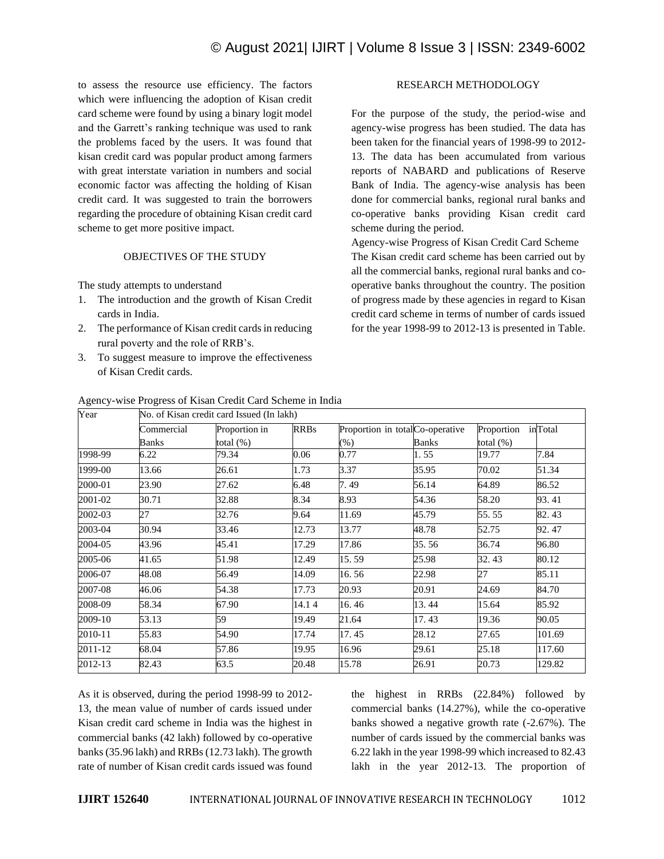to assess the resource use efficiency. The factors which were influencing the adoption of Kisan credit card scheme were found by using a binary logit model and the Garrett's ranking technique was used to rank the problems faced by the users. It was found that kisan credit card was popular product among farmers with great interstate variation in numbers and social economic factor was affecting the holding of Kisan credit card. It was suggested to train the borrowers regarding the procedure of obtaining Kisan credit card scheme to get more positive impact.

## OBJECTIVES OF THE STUDY

The study attempts to understand

- 1. The introduction and the growth of Kisan Credit cards in India.
- 2. The performance of Kisan credit cards in reducing rural poverty and the role of RRB's.
- 3. To suggest measure to improve the effectiveness of Kisan Credit cards.

# RESEARCH METHODOLOGY

For the purpose of the study, the period-wise and agency-wise progress has been studied. The data has been taken for the financial years of 1998-99 to 2012- 13. The data has been accumulated from various reports of NABARD and publications of Reserve Bank of India. The agency-wise analysis has been done for commercial banks, regional rural banks and co-operative banks providing Kisan credit card scheme during the period.

Agency-wise Progress of Kisan Credit Card Scheme The Kisan credit card scheme has been carried out by all the commercial banks, regional rural banks and cooperative banks throughout the country. The position of progress made by these agencies in regard to Kisan credit card scheme in terms of number of cards issued for the year 1998-99 to 2012-13 is presented in Table.

| Year    | No. of Kisan credit card Issued (In lakh) |               |             |                                 |              |              |         |
|---------|-------------------------------------------|---------------|-------------|---------------------------------|--------------|--------------|---------|
|         | Commercial                                | Proportion in | <b>RRBs</b> | Proportion in totalCo-operative |              | Proportion   | inTotal |
|         | Banks                                     | total $(\%)$  |             | $(\% )$                         | <b>Banks</b> | total $(\%)$ |         |
| 1998-99 | 6.22                                      | 79.34         | 0.06        | 0.77                            | 1.55         | 19.77        | 7.84    |
| 1999-00 | 13.66                                     | 26.61         | 1.73        | 3.37                            | 35.95        | 70.02        | 51.34   |
| 2000-01 | 23.90                                     | 27.62         | 6.48        | 7.49                            | 56.14        | 64.89        | 86.52   |
| 2001-02 | 30.71                                     | 32.88         | 8.34        | 8.93                            | 54.36        | 58.20        | 93.41   |
| 2002-03 | 27                                        | 32.76         | 9.64        | 11.69                           | 45.79        | 55.55        | 82.43   |
| 2003-04 | 30.94                                     | 33.46         | 12.73       | 13.77                           | 48.78        | 52.75        | 92.47   |
| 2004-05 | 43.96                                     | 45.41         | 17.29       | 17.86                           | 35.56        | 36.74        | 96.80   |
| 2005-06 | 41.65                                     | 51.98         | 12.49       | 15.59                           | 25.98        | 32.43        | 80.12   |
| 2006-07 | 48.08                                     | 56.49         | 14.09       | 16.56                           | 22.98        | 27           | 85.11   |
| 2007-08 | 46.06                                     | 54.38         | 17.73       | 20.93                           | 20.91        | 24.69        | 84.70   |
| 2008-09 | 58.34                                     | 67.90         | 14.14       | 16.46                           | 13.44        | 15.64        | 85.92   |
| 2009-10 | 53.13                                     | 59            | 19.49       | 21.64                           | 17.43        | 19.36        | 90.05   |
| 2010-11 | 55.83                                     | 54.90         | 17.74       | 17.45                           | 28.12        | 27.65        | 101.69  |
| 2011-12 | 68.04                                     | 57.86         | 19.95       | 16.96                           | 29.61        | 25.18        | 117.60  |
| 2012-13 | 82.43                                     | 63.5          | 20.48       | 15.78                           | 26.91        | 20.73        | 129.82  |

Agency-wise Progress of Kisan Credit Card Scheme in India

As it is observed, during the period 1998-99 to 2012- 13, the mean value of number of cards issued under Kisan credit card scheme in India was the highest in commercial banks (42 lakh) followed by co-operative banks (35.96 lakh) and RRBs (12.73 lakh). The growth rate of number of Kisan credit cards issued was found the highest in RRBs (22.84%) followed by commercial banks (14.27%), while the co-operative banks showed a negative growth rate (-2.67%). The number of cards issued by the commercial banks was 6.22 lakh in the year 1998-99 which increased to 82.43 lakh in the year 2012-13. The proportion of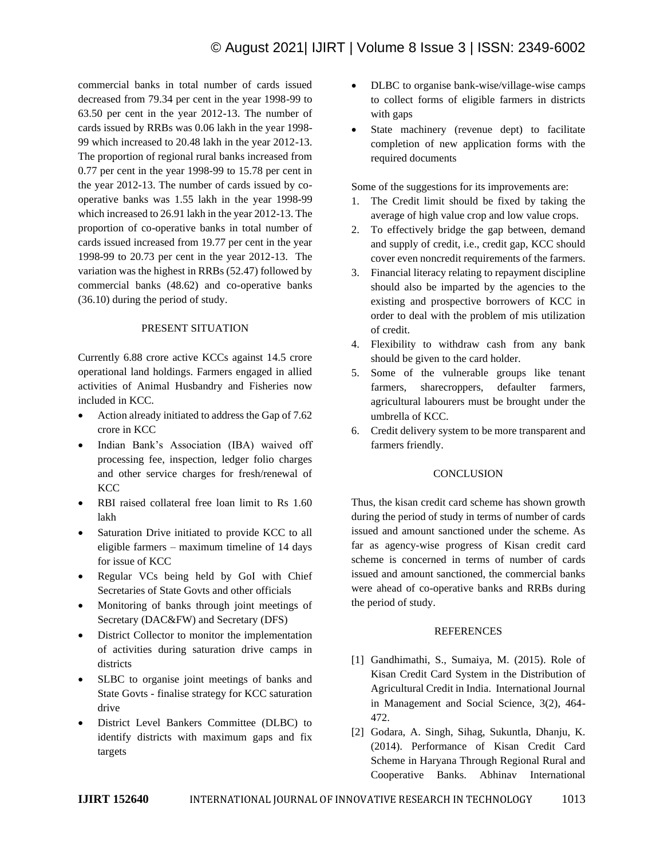commercial banks in total number of cards issued decreased from 79.34 per cent in the year 1998-99 to 63.50 per cent in the year 2012-13. The number of cards issued by RRBs was 0.06 lakh in the year 1998- 99 which increased to 20.48 lakh in the year 2012-13. The proportion of regional rural banks increased from 0.77 per cent in the year 1998-99 to 15.78 per cent in the year 2012-13. The number of cards issued by cooperative banks was 1.55 lakh in the year 1998-99 which increased to 26.91 lakh in the year 2012-13. The proportion of co-operative banks in total number of cards issued increased from 19.77 per cent in the year 1998-99 to 20.73 per cent in the year 2012-13. The variation was the highest in RRBs (52.47) followed by commercial banks (48.62) and co-operative banks (36.10) during the period of study.

## PRESENT SITUATION

Currently 6.88 crore active KCCs against 14.5 crore operational land holdings. Farmers engaged in allied activities of Animal Husbandry and Fisheries now included in KCC.

- Action already initiated to address the Gap of 7.62 crore in KCC
- Indian Bank's Association (IBA) waived off processing fee, inspection, ledger folio charges and other service charges for fresh/renewal of **KCC**
- RBI raised collateral free loan limit to Rs 1.60 lakh
- Saturation Drive initiated to provide KCC to all eligible farmers – maximum timeline of 14 days for issue of KCC
- Regular VCs being held by GoI with Chief Secretaries of State Govts and other officials
- Monitoring of banks through joint meetings of Secretary (DAC&FW) and Secretary (DFS)
- District Collector to monitor the implementation of activities during saturation drive camps in districts
- SLBC to organise joint meetings of banks and State Govts - finalise strategy for KCC saturation drive
- District Level Bankers Committee (DLBC) to identify districts with maximum gaps and fix targets
- DLBC to organise bank-wise/village-wise camps to collect forms of eligible farmers in districts with gaps
- State machinery (revenue dept) to facilitate completion of new application forms with the required documents

Some of the suggestions for its improvements are:

- 1. The Credit limit should be fixed by taking the average of high value crop and low value crops.
- 2. To effectively bridge the gap between, demand and supply of credit, i.e., credit gap, KCC should cover even noncredit requirements of the farmers.
- 3. Financial literacy relating to repayment discipline should also be imparted by the agencies to the existing and prospective borrowers of KCC in order to deal with the problem of mis utilization of credit.
- 4. Flexibility to withdraw cash from any bank should be given to the card holder.
- 5. Some of the vulnerable groups like tenant farmers, sharecroppers, defaulter farmers, agricultural labourers must be brought under the umbrella of KCC.
- 6. Credit delivery system to be more transparent and farmers friendly.

## **CONCLUSION**

Thus, the kisan credit card scheme has shown growth during the period of study in terms of number of cards issued and amount sanctioned under the scheme. As far as agency-wise progress of Kisan credit card scheme is concerned in terms of number of cards issued and amount sanctioned, the commercial banks were ahead of co-operative banks and RRBs during the period of study.

## REFERENCES

- [1] Gandhimathi, S., Sumaiya, M. (2015). Role of Kisan Credit Card System in the Distribution of Agricultural Credit in India. International Journal in Management and Social Science, 3(2), 464- 472.
- [2] Godara, A. Singh, Sihag, Sukuntla, Dhanju, K. (2014). Performance of Kisan Credit Card Scheme in Haryana Through Regional Rural and Cooperative Banks. Abhinav International